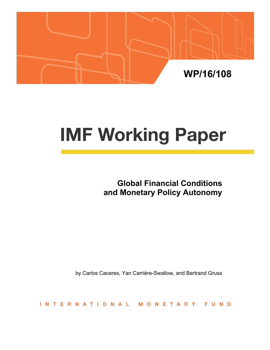

# **IMF Working Paper**

**Global Financial Conditions and Monetary Policy Autonomy** 

by Carlos Caceres, Yan Carrière-Swallow, and Bertrand Gruss

INTERNATIONAL MONETARY FUND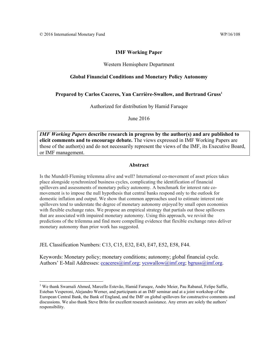#### **IMF Working Paper**

#### Western Hemisphere Department

#### **Global Financial Conditions and Monetary Policy Autonomy**

#### **Prepared by Carlos Caceres, Yan Carrière-Swallow, and Bertrand Gruss<sup>1</sup>**

Authorized for distribution by Hamid Faruqee

June 2016

*IMF Working Papers* **describe research in progress by the author(s) and are published to elicit comments and to encourage debate.** The views expressed in IMF Working Papers are those of the author(s) and do not necessarily represent the views of the IMF, its Executive Board, or IMF management.

#### **Abstract**

Is the Mundell-Fleming trilemma alive and well? International co-movement of asset prices takes place alongside synchronized business cycles, complicating the identification of financial spillovers and assessments of monetary policy autonomy. A benchmark for interest rate comovement is to impose the null hypothesis that central banks respond only to the outlook for domestic inflation and output. We show that common approaches used to estimate interest rate spillovers tend to understate the degree of monetary autonomy enjoyed by small open economies with flexible exchange rates. We propose an empirical strategy that partials out those spillovers that are associated with impaired monetary autonomy. Using this approach, we revisit the predictions of the trilemma and find more compelling evidence that flexible exchange rates deliver monetary autonomy than prior work has suggested.

JEL Classification Numbers: C13, C15, E32, E43, E47, E52, E58, F44.

Keywords: Monetary policy; monetary conditions; autonomy; global financial cycle. Authors' E-Mail Addresses: ccaceres@imf.org; ycswallow@imf.org; bgruss@imf.org.

<sup>&</sup>lt;sup>1</sup> We thank Swarnali Ahmed, Marcello Estevão, Hamid Faruqee, Andre Meier, Pau Rabanal, Felipe Saffie, Esteban Vesperoni, Alejandro Werner, and participants at an IMF seminar and at a joint workshop of the European Central Bank, the Bank of England, and the IMF on global spillovers for constructive comments and discussions. We also thank Steve Brito for excellent research assistance. Any errors are solely the authors' responsibility.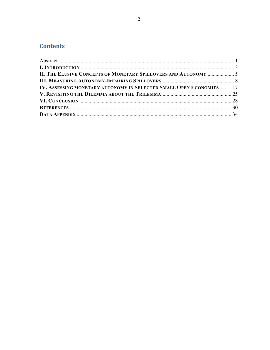## **Contents**

| <b>II. THE ELUSIVE CONCEPTS OF MONETARY SPILLOVERS AND AUTONOMY  5</b> |  |
|------------------------------------------------------------------------|--|
|                                                                        |  |
| IV. ASSESSING MONETARY AUTONOMY IN SELECTED SMALL OPEN ECONOMIES  17   |  |
|                                                                        |  |
|                                                                        |  |
|                                                                        |  |
|                                                                        |  |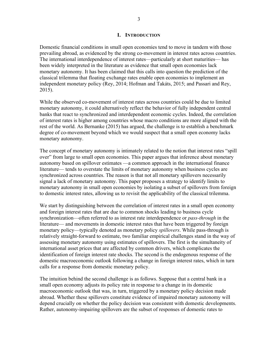#### **I. INTRODUCTION**

Domestic financial conditions in small open economies tend to move in tandem with those prevailing abroad, as evidenced by the strong co-movement in interest rates across countries. The international interdependence of interest rates—particularly at short maturities— has been widely interpreted in the literature as evidence that small open economies lack monetary autonomy. It has been claimed that this calls into question the prediction of the classical trilemma that floating exchange rates enable open economies to implement an independent monetary policy (Rey, 2014; Hofman and Takáts, 2015; and Passari and Rey, 2015).

While the observed co-movement of interest rates across countries could be due to limited monetary autonomy, it could alternatively reflect the behavior of fully independent central banks that react to synchronized and interdependent economic cycles. Indeed, the correlation of interest rates is higher among countries whose macro conditions are more aligned with the rest of the world. As Bernanke (2015) has argued, the challenge is to establish a benchmark degree of co-movement beyond which we would suspect that a small open economy lacks monetary autonomy.

The concept of monetary autonomy is intimately related to the notion that interest rates "spill over" from large to small open economies. This paper argues that inference about monetary autonomy based on spillover estimates —a common approach in the international finance literature— tends to overstate the limits of monetary autonomy when business cycles are synchronized across countries. The reason is that not all monetary spillovers necessarily signal a lack of monetary autonomy. This paper proposes a strategy to identify limits to monetary autonomy in small open economies by isolating a subset of spillovers from foreign to domestic interest rates, allowing us to revisit the applicability of the classical trilemma.

We start by distinguishing between the correlation of interest rates in a small open economy and foreign interest rates that are due to common shocks leading to business cycle synchronization—often referred to as interest rate interdependence or *pass-through* in the literature— and movements in domestic interest rates that have been triggered by foreign monetary policy—typically denoted as monetary policy *spillovers*. While pass-through is relatively straight-forward to estimate, two familiar empirical challenges stand in the way of assessing monetary autonomy using estimates of spillovers. The first is the simultaneity of international asset prices that are affected by common drivers, which complicates the identification of foreign interest rate shocks. The second is the endogenous response of the domestic macroeconomic outlook following a change in foreign interest rates, which in turn calls for a response from domestic monetary policy.

The intuition behind the second challenge is as follows. Suppose that a central bank in a small open economy adjusts its policy rate in response to a change in its domestic macroeconomic outlook that was, in turn, triggered by a monetary policy decision made abroad. Whether these spillovers constitute evidence of impaired monetary autonomy will depend crucially on whether the policy decision was consistent with domestic developments. Rather, autonomy-impairing spillovers are the subset of responses of domestic rates to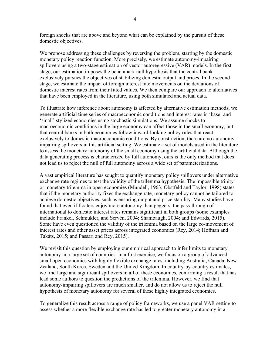foreign shocks that are above and beyond what can be explained by the pursuit of these domestic objectives.

We propose addressing these challenges by reversing the problem, starting by the domestic monetary policy reaction function. More precisely, we estimate autonomy-impairing spillovers using a two-stage estimation of vector autoregressive (VAR) models. In the first stage, our estimation imposes the benchmark null hypothesis that the central bank exclusively pursues the objectives of stabilizing domestic output and prices. In the second stage, we estimate the impact of foreign interest rate movements on the deviations of domestic interest rates from their fitted values. We then compare our approach to alternatives that have been employed in the literature, using both simulated and actual data.

To illustrate how inference about autonomy is affected by alternative estimation methods, we generate artificial time series of macroeconomic conditions and interest rates in 'base' and 'small' stylized economies using stochastic simulations. We assume shocks to macroeconomic conditions in the large economy can affect those in the small economy, but that central banks in both economies follow inward-looking policy rules that react exclusively to domestic macroeconomic conditions. By construction, there are no autonomyimpairing spillovers in this artificial setting. We estimate a set of models used in the literature to assess the monetary autonomy of the small economy using the artificial data. Although the data generating process is characterized by full autonomy, ours is the only method that does not lead us to reject the null of full autonomy across a wide set of parameterizations.

A vast empirical literature has sought to quantify monetary policy spillovers under alternative exchange rate regimes to test the validity of the trilemma hypothesis. The impossible trinity or monetary trilemma in open economies (Mundell, 1963; Obstfeld and Taylor, 1998) states that if the monetary authority fixes the exchange rate, monetary policy cannot be tailored to achieve domestic objectives, such as ensuring output and price stability. Many studies have found that even if floaters enjoy more autonomy than peggers, the pass-through of international to domestic interest rates remains significant in both groups (some examples include Frankel, Schmukler, and Servén, 2004; Shambaugh, 2004; and Edwards, 2015). Some have even questioned the validity of the trilemma based on the large co-movement of interest rates and other asset prices across integrated economies (Rey, 2014; Hofman and Takáts, 2015; and Passari and Rey, 2015).

We revisit this question by employing our empirical approach to infer limits to monetary autonomy in a large set of countries. In a first exercise, we focus on a group of advanced small open economies with highly flexible exchange rates, including Australia, Canada, New Zealand, South Korea, Sweden and the United Kingdom. In country-by-country estimates, we find large and significant spillovers in all of these economies, confirming a result that has lead some authors to question the predictions of the trilemma. However, we find that autonomy-impairing spillovers are much smaller, and do not allow us to reject the null hypothesis of monetary autonomy for several of these highly integrated economies.

To generalize this result across a range of policy frameworks, we use a panel VAR setting to assess whether a more flexible exchange rate has led to greater monetary autonomy in a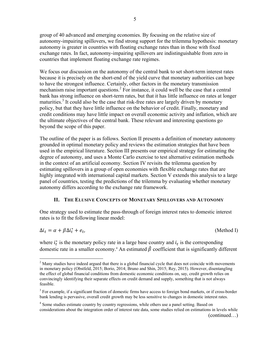group of 40 advanced and emerging economies. By focusing on the relative size of autonomy-impairing spillovers, we find strong support for the trilemma hypothesis: monetary autonomy is greater in countries with floating exchange rates than in those with fixed exchange rates. In fact, autonomy-impairing spillovers are indistinguishable from zero in countries that implement floating exchange rate regimes.

We focus our discussion on the autonomy of the central bank to set short-term interest rates because it is precisely on the short-end of the yield curve that monetary authorities can hope to have the strongest influence. Certainly, other factors in the monetary transmission mechanism raise important questions.<sup>2</sup> For instance, it could well be the case that a central bank has strong influence on short-term rates, but that it has little influence on rates at longer maturities.<sup>3</sup> It could also be the case that risk-free rates are largely driven by monetary policy, but that they have little influence on the behavior of credit. Finally, monetary and credit conditions may have little impact on overall economic activity and inflation, which are the ultimate objectives of the central bank. These relevant and interesting questions go beyond the scope of this paper.

The outline of the paper is as follows. Section II presents a definition of monetary autonomy grounded in optimal monetary policy and reviews the estimation strategies that have been used in the empirical literature. Section III presents our empirical strategy for estimating the degree of autonomy, and uses a Monte Carlo exercise to test alternative estimation methods in the context of an artificial economy. Section IV revisits the trilemma question by estimating spillovers in a group of open economies with flexible exchange rates that are highly integrated with international capital markets. Section V extends this analysis to a large panel of countries, testing the predictions of the trilemma by evaluating whether monetary autonomy differs according to the exchange rate framework.

#### **II. THE ELUSIVE CONCEPTS OF MONETARY SPILLOVERS AND AUTONOMY**

One strategy used to estimate the pass-through of foreign interest rates to domestic interest rates is to fit the following linear model:

$$
\Delta i_t = \alpha + \beta \Delta i_t^* + e_t,
$$

 $\overline{a}$ 

 $*_{t} * e_{t}$ , (Method I)

where  $i_t^*$  is the monetary policy rate in a large base country and  $i_t$  is the corresponding domestic rate in a smaller economy.<sup>4</sup> An estimated  $\hat{\beta}$  coefficient that is significantly different

 $2$  Many studies have indeed argued that there is a global financial cycle that does not coincide with movements in monetary policy (Obstfeld, 2015; Borio, 2014; Bruno and Shin, 2015; Rey, 2015). However, disentangling the effect of global financial conditions from domestic economic conditions on, say, credit growth relies on convincingly identifying their separate effects on credit demand and supply, something that is not always feasible.

<sup>&</sup>lt;sup>3</sup> For example, if a significant fraction of domestic firms have access to foreign bond markets, or if cross-border bank lending is pervasive, overall credit growth may be less sensitive to changes in domestic interest rates.

<sup>&</sup>lt;sup>4</sup> Some studies estimate country by country regressions, while others use a panel setting. Based on considerations about the integration order of interest rate data, some studies relied on estimations in levels while (continued…)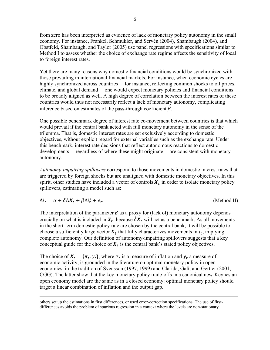from zero has been interpreted as evidence of lack of monetary policy autonomy in the small economy. For instance, Frankel, Schmukler, and Servén (2004), Shambaugh (2004), and Obstfeld, Shambaugh, and Taylor (2005) use panel regressions with specifications similar to Method I to assess whether the choice of exchange rate regime affects the sensitivity of local to foreign interest rates.

Yet there are many reasons why domestic financial conditions would be synchronized with those prevailing in international financial markets. For instance, when economic cycles are highly synchronized across countries —for instance, reflecting common shocks to oil prices, climate, and global demand— one would expect monetary policies and financial conditions to be broadly aligned as well. A high degree of correlation between the interest rates of these countries would thus not necessarily reflect a lack of monetary autonomy, complicating inference based on estimates of the pass-through coefficient  $\hat{\beta}$ .

One possible benchmark degree of interest rate co-movement between countries is that which would prevail if the central bank acted with full monetary autonomy in the sense of the trilemma. That is, domestic interest rates are set exclusively according to domestic objectives, without explicit regard for external variables such as the exchange rate. Under this benchmark, interest rate decisions that reflect autonomous reactions to domestic developments —regardless of where these might originate— are consistent with monetary autonomy.

*Autonomy-impairing spillovers* correspond to those movements in domestic interest rates that are triggered by foreign shocks but are unaligned with domestic monetary objectives. In this spirit, other studies have included a vector of controls  $X_t$  in order to isolate monetary policy spillovers, estimating a model such as:

$$
\Delta i_t = \alpha + \delta \Delta X_t + \beta \Delta i_t^* + e_t.
$$

(Method II)

The interpretation of the parameter  $\beta$  as a proxy for (lack of) monetary autonomy depends crucially on what is included in  $X_t$ , because  $\delta X_t$  will act as a benchmark. As all movements in the short-term domestic policy rate are chosen by the central bank, it will be possible to choose a sufficiently large vector  $X_t$  that fully characterizes movements in  $i_t$ , implying complete autonomy. Our definition of autonomy-impairing spillovers suggests that a key conceptual guide for the choice of  $X_t$  is the central bank's stated policy objectives.

The choice of  $X_t = {\pi_t, \gamma_t}$ , where  $\pi_t$  is a measure of inflation and  $\gamma_t$  a measure of economic activity, is grounded in the literature on optimal monetary policy in open economies, in the tradition of Svensson (1997, 1999) and Clarida, Galí, and Gertler (2001, CGG). The latter show that the key monetary policy trade-offs in a canonical new-Keynesian open economy model are the same as in a closed economy: optimal monetary policy should target a linear combination of inflation and the output gap.

others set up the estimations in first differences, or used error-correction specifications. The use of firstdifferences avoids the problem of spurious regression in a context where the levels are non-stationary.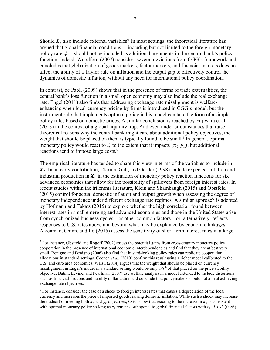Should  $X_t$  also include external variables? In most settings, the theoretical literature has argued that global financial conditions —including but not limited to the foreign monetary policy rate  $i_t^*$ — should not be included as additional arguments in the central bank's policy function. Indeed, Woodford (2007) considers several deviations from CGG's framework and concludes that globalization of goods markets, factor markets, and financial markets does not affect the ability of a Taylor rule on inflation and the output gap to effectively control the dynamics of domestic inflation, without any need for international policy coordination.

In contrast, de Paoli (2009) shows that in the presence of terms of trade externalities, the central bank's loss function in a small open economy may also include the real exchange rate. Engel (2011) also finds that addressing exchange rate misalignment is welfareenhancing when local-currency pricing by firms is introduced in CGG's model, but the instrument rule that implements optimal policy in his model can take the form of a simple policy rules based on domestic prices. A similar conclusion is reached by Fujiwara et al. (2013) in the context of a global liquidity trap. And even under circumstances that raise theoretical reasons why the central bank might care about additional policy objectives, the weight that should be placed on them is typically found to be small.<sup>5</sup> In general, optimal monetary policy would react to  $i_t^*$  to the extent that it impacts  $(\pi_t, y_t)$ , but additional reactions tend to impose large costs.<sup>6</sup>

The empirical literature has tended to share this view in terms of the variables to include in  $X_t$ . In an early contribution, Clarida, Galí, and Gertler (1998) include expected inflation and industrial production in  $X_t$  in the estimation of monetary policy reaction functions for six advanced economies that allow for the possibility of spillovers from foreign interest rates. In recent studies within the trilemma literature, Klein and Shambaugh (2015) and Obstfeld (2015) control for actual domestic inflation and output growth when assessing the degree of monetary independence under different exchange rate regimes. A similar approach is adopted by Hofmann and Takáts (2015) to explore whether the high correlation found between interest rates in small emerging and advanced economies and those in the United States arise from synchronized business cycles—or other common factors—or, alternatively, reflects responses to U.S. rates above and beyond what may be explained by economic linkages. Aizenman, Chinn, and Ito (2015) assess the sensitivity of short-term interest rates in a large

<sup>1</sup>  $<sup>5</sup>$  For instance, Obstfeld and Rogoff (2002) assess the potential gains from cross-country monetary policy</sup> cooperation in the presence of international economic interdependencies and find that they are at best very small. Benigno and Benigno (2006) also find that inward-looking policy rules can replicate cooperation allocations in standard settings. Coenen *et al.* (2010) confirm this result using a richer model calibrated to the U.S. and euro area economies. Walsh (2014) argues that the weight that should be placed on currency misalignment in Engel's model in a standard setting would be only  $1/8<sup>th</sup>$  of that placed on the price stability objective. Batini, Levine, and Pearlman (2007) use welfare analysis in a model extended to include distortions such as financial frictions and liability dollarization and conclude that policymakers should not aim at achieving exchange rate objectives.

<sup>&</sup>lt;sup>6</sup> For instance, consider the case of a shock to foreign interest rates that causes a depreciation of the local currency and increases the price of imported goods, raising domestic inflation. While such a shock may increase the tradeoff of meeting both  $\pi_t$  and  $\gamma_t$  objectives, CGG show that reacting to the increase in  $\pi_t$  is consistent with optimal monetary policy so long as  $e_t$  remains orthogonal to global financial factors with  $e_t \sim i.i.d. (0, \sigma^i)$ .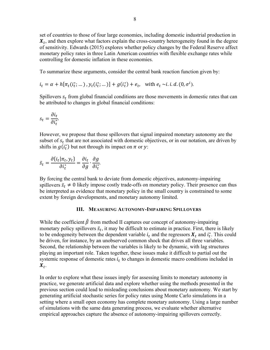set of countries to those of four large economies, including domestic industrial production in  $X_t$ , and then explore what factors explain the cross-country heterogeneity found in the degree of sensitivity. Edwards (2015) explores whether policy changes by the Federal Reserve affect monetary policy rates in three Latin American countries with flexible exchange rates while controlling for domestic inflation in these economies.

To summarize these arguments, consider the central bank reaction function given by:

$$
i_t = \alpha + h[\pi_t(i_t^*; ...), y_t(i_t^*; ...)] + g(i_t^*) + e_t
$$
, with  $e_t \sim i.i.d.$   $(0, \sigma^i)$ .

Spillovers  $s_t$  from global financial conditions are those movements in domestic rates that can be attributed to changes in global financial conditions:

$$
s_t = \frac{\partial i_t}{\partial i_t^*}.
$$

However, we propose that those spillovers that signal impaired monetary autonomy are the subset of  $s_t$  that are not associated with domestic objectives, or in our notation, are driven by shifts in  $g(i_t^*)$  but not through its impact on  $\pi$  or  $y$ :

$$
\bar{s}_t = \frac{\partial \{i_t | \pi_t, y_t\}}{\partial i_t^*} = \frac{\partial i_t}{\partial g} \cdot \frac{\partial g}{\partial i_t^*}.
$$

By forcing the central bank to deviate from domestic objectives, autonomy-impairing spillovers  $\bar{s}_t \neq 0$  likely impose costly trade-offs on monetary policy. Their presence can thus be interpreted as evidence that monetary policy in the small country is constrained to some extent by foreign developments, and monetary autonomy limited.

#### **III. MEASURING AUTONOMY-IMPAIRING SPILLOVERS**

While the coefficient  $\hat{\beta}$  from method II captures our concept of autonomy-impairing monetary policy spillovers  $\bar{s}_t$ , it may be difficult to estimate in practice. First, there is likely to be endogeneity between the dependent variable  $i_t$  and the regressors  $X_t$  and  $i_t^*$ . This could be driven, for instance, by an unobserved common shock that drives all three variables. Second, the relationship between the variables is likely to be dynamic, with lag structures playing an important role. Taken together, these issues make it difficult to partial out the systemic response of domestic rates  $i_t$  to changes in domestic macro conditions included in  $X_{t+1}$ 

In order to explore what these issues imply for assessing limits to monetary autonomy in practice, we generate artificial data and explore whether using the methods presented in the previous section could lead to misleading conclusions about monetary autonomy. We start by generating artificial stochastic series for policy rates using Monte Carlo simulations in a setting where a small open economy has complete monetary autonomy. Using a large number of simulations with the same data generating process, we evaluate whether alternative empirical approaches capture the absence of autonomy-impairing spillovers correctly.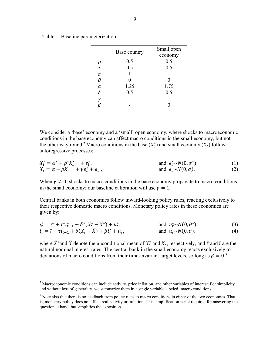|          | Base country | Small open |  |  |  |
|----------|--------------|------------|--|--|--|
|          |              | economy    |  |  |  |
|          | 0.5          | 0.5        |  |  |  |
| τ        | 0.5          | 0.5        |  |  |  |
| $\sigma$ |              |            |  |  |  |
| θ        |              |            |  |  |  |
| α        | 1.25         | 1.75       |  |  |  |
| δ        | 0.5          | 0.5        |  |  |  |
|          |              |            |  |  |  |
|          |              |            |  |  |  |

Table 1. Baseline parameterization

1

We consider a 'base' economy and a 'small' open economy, where shocks to macroeconomic conditions in the base economy can affect macro conditions in the small economy, but not the other way round.<sup>7</sup> Macro conditions in the base  $(X_t^*)$  and small economy  $(X_t)$  follow autoregressive processes:

| $X_t^* = \alpha^* + \rho^* X_{t-1}^* + e_t^*$        | and $e_t^*{\sim}N(0,\sigma^*)$ | (1) |
|------------------------------------------------------|--------------------------------|-----|
| $X_t = \alpha + \rho X_{t-1} + \gamma e_t^* + e_t$ , | and $e_t \sim N(0, \sigma)$ .  | (2) |

When  $\gamma \neq 0$ , shocks to macro conditions in the base economy propagate to macro conditions in the small economy; our baseline calibration will use  $\gamma = 1$ .

Central banks in both economies follow inward-looking policy rules, reacting exclusively to their respective domestic macro conditions. Monetary policy rates in these economies are given by:

$$
i_t^* = \bar{\iota}^* + \tau^* i_{t-1}^* + \delta^* (X_t^* - \bar{X}^*) + u_t^*,
$$
 and  $u_t^* \sim N(0, \theta^*)$   
\n
$$
i_t = \bar{\iota} + \tau i_{t-1} + \delta (X_t - \bar{X}) + \beta i_t^* + u_t,
$$
 and  $u_t \sim N(0, \theta)$ , (3)

where  $\bar{X}^*$  and  $\bar{X}$  denote the unconditional mean of  $X_t^*$  and  $X_t$ , respectively, and  $\bar{\tau}$  and  $\bar{\tau}$  are the natural nominal interest rates. The central bank in the small economy reacts exclusively to deviations of macro conditions from their time-invariant target levels, so long as  $\beta = 0$ .<sup>8</sup>

 $<sup>7</sup>$  Macroeconomic conditions can include activity, price inflation, and other variables of interest. For simplicity</sup> and without loss of generality, we summarize them in a single variable labeled 'macro conditions'.

<sup>&</sup>lt;sup>8</sup> Note also that there is no feedback from policy rates to macro conditions in either of the two economies. That is, monetary policy does not affect real activity or inflation. This simplification is not required for answering the question at hand, but simplifies the exposition.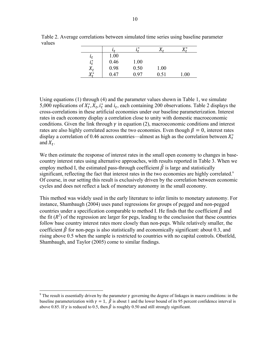|                              |      | **   |      | 17 *     |
|------------------------------|------|------|------|----------|
| $\iota_t$                    | 1.00 |      |      |          |
| $: *$<br>$\iota_t$           | 0.46 | 1.00 |      |          |
| V<br>$\frac{\lambda_t}{v^*}$ | 0.98 | 0.50 | 1.00 |          |
|                              | 0.47 | 0.97 | 0.51 | $1.00\,$ |

Table 2. Average correlations between simulated time series using baseline parameter values

Using equations (1) through (4) and the parameter values shown in Table 1, we simulate 5,000 replications of  $X_t^*$ ,  $X_t$ ,  $i_t^*$  and  $i_t$ , each containing 200 observations. Table 2 displays the cross-correlations in these artificial economies under our baseline parameterization. Interest rates in each economy display a correlation close to unity with domestic macroeconomic conditions. Given the link through  $\gamma$  in equation (2), macroeconomic conditions and interest rates are also highly correlated across the two economies. Even though  $\beta = 0$ , interest rates display a correlation of 0.46 across countries—almost as high as the correlation between  $X_t^*$ and  $X_t$ .

We then estimate the response of interest rates in the small open economy to changes in basecountry interest rates using alternative approaches, with results reported in Table 3. When we employ method I, the estimated pass-through coefficient  $\hat{\beta}$  is large and statistically significant, reflecting the fact that interest rates in the two economies are highly correlated.<sup>9</sup> Of course, in our setting this result is exclusively driven by the correlation between economic cycles and does not reflect a lack of monetary autonomy in the small economy.

This method was widely used in the early literature to infer limits to monetary autonomy. For instance, Shambaugh (2004) uses panel regressions for groups of pegged and non-pegged countries under a specification comparable to method I. He finds that the coefficient  $\hat{\beta}$  and the fit  $(R^2)$  of the regression are larger for pegs, leading to the conclusion that these countries follow base country interest rates more closely than non-pegs. While relatively smaller, the coefficient  $\hat{\beta}$  for non-pegs is also statistically and economically significant: about 0.3, and rising above 0.5 when the sample is restricted to countries with no capital controls. Obstfeld, Shambaugh, and Taylor (2005) come to similar findings.

1

<sup>&</sup>lt;sup>9</sup> The result is essentially driven by the parameter  $\gamma$  governing the degree of linkages in macro conditions: in the baseline parameterization with  $\gamma = 1$ ,  $\hat{\beta}$  is about 1 and the lower bound of its 95 percent confidence interval is above 0.85. If  $\gamma$  is reduced to 0.5, then  $\hat{\beta}$  is roughly 0.50 and still strongly significant.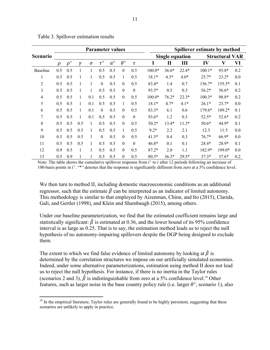|                 |        |          |              |          |          | <b>Parameter values</b> |                  |          |          |                 |         | Spillover estimate by method |                       |     |
|-----------------|--------|----------|--------------|----------|----------|-------------------------|------------------|----------|----------|-----------------|---------|------------------------------|-----------------------|-----|
| <b>Scenario</b> |        |          |              |          |          |                         |                  |          |          | Single equation |         |                              | <b>Structural VAR</b> |     |
|                 | $\rho$ | $\rho^*$ | $\mathcal V$ | $\sigma$ | $\tau^*$ | $\alpha^*$              | $\theta^*$       | τ        | I        | $\mathbf{I}$    | Ш       | IV                           | $\bar{\mathbf{V}}$    | VI  |
| <b>Baseline</b> | 0.5    | 0.5      |              |          | 0.5      | 0.5                     | $\theta$         | 0.5      | $100.0*$ | $36.6*$         | $22.4*$ | $100.1*$                     | 93.8*                 | 0.2 |
|                 | 0.5    | 0.5      |              |          | 0.5      | 0.5                     | 1                | 0.5      | $18.1*$  | $4.3*$          | $4.0*$  | $25.7*$                      | $23.2*$               | 0.0 |
| $\mathfrak{2}$  | 0.5    | 0.5      |              |          | $\theta$ | 0.5                     | $\theta$         | 0.5      | $83.4*$  | 1.4             | 0.7     | 156.7*                       | 155.5*                | 0.1 |
| 3               | 0.5    | 0.5      |              |          | 0.5      | 0.5                     | $\theta$         | $\theta$ | $93.5*$  | 0.5             | 0.3     | $56.2*$                      | 56.6*                 | 0.2 |
| $\overline{4}$  | 0.5    | 0.5      |              | 0.1      | 0.5      | 0.5                     | $\theta$         | 0.5      | $100.0*$ | $76.2*$         | $22.3*$ | $100.3*$                     | 98.8*                 | 0.2 |
| 5               | 0.5    | 0.5      |              | 0.1      | 0.5      | 0.5                     | $\mathbf{1}$     | 0.5      | $18.1*$  | $4.7*$          | $4.1*$  | $26.1*$                      | $23.7*$               | 0.0 |
| 6               | 0.5    | 0.5      |              | 0.1      | $\theta$ | 0.5                     | $\theta$         | 0.5      | $83.3*$  | 6.1             | 0.6     | 179.6*                       | 189.2*                | 0.1 |
| 7               | 0.5    | 0.5      |              | 0.1      | 0.5      | 0.5                     | $\theta$         | $\theta$ | 93.6*    | 1.2             | 0.3     | $52.5*$                      | $52.6*$               | 0.2 |
| 8               | 0.5    | 0.5      | 0.5          |          | 0.5      | 0.5                     | $\theta$         | 0.5      | $50.2*$  | $13.4*$         | $11.3*$ | $50.6*$                      | 44.9*                 | 0.1 |
| 9               | 0.5    | 0.5      | 0.5          | 1        | 0.5      | 0.5                     | $\mathbf{1}$     | 0.5      | $9.2*$   | 2.2             | 2.1     | 12.3                         | 11.5                  | 0.0 |
| 10              | 0.5    | 0.5      | 0.5          |          | $\theta$ | 0.5                     | $\boldsymbol{0}$ | 0.5      | $41.5*$  | 0.4             | 0.3     | $76.7*$                      | $66.9*$               | 0.0 |
| 11              | 0.5    | 0.5      | 0.5          |          | 0.5      | 0.5                     | $\theta$         | $\theta$ | $46.8*$  | 0.1             | 0.1     | $28.4*$                      | 28.9*                 | 0.1 |
| 12              | 0.9    | 0.5      |              |          | 0.5      | 0.5                     | $\overline{0}$   | 0.5      | $87.2*$  | 2.0             | 1.1     | 182.9*                       | $199.0*$              | 0.0 |
| 13              | 0.5    | 0.9      |              |          | 0.5      | 0.5                     | $\boldsymbol{0}$ | 0.5      | 80.5*    | $36.3*$         | $29.5*$ | $37.3*$                      | $37.6*$               | 0.2 |

Table 3. Spillover estimation results

 $\overline{a}$ 

Note: The table shows the cumulative spillover response from  $i<sup>*</sup>$  to  $i$  after 12 periods following an increase of 100-basis points in  $i^*$ . "\*" denotes that the response is significantly different from zero at a 5% confidence level.

We then turn to method II, including domestic macroeconomic conditions as an additional regressor, such that the estimate  $\hat{\beta}$  can be interpreted as an indicator of limited autonomy. This methodology is similar to that employed by Aizenman, Chinn, and Ito (2015), Clarida, Galí, and Gertler (1998), and Klein and Shambaugh (2015), among others.

Under our baseline parameterization, we find that the estimated coefficient remains large and statistically significant:  $\hat{\beta}$  is estimated at 0.36, and the lower bound of its 95% confidence interval is as large as 0.25. That is to say, the estimation method leads us to reject the null hypothesis of no autonomy-impairing spillovers despite the DGP being designed to exclude them.

The extent to which we find false evidence of limited autonomy by looking at  $\hat{\beta}$  is determined by the correlation structures we impose on our artificially simulated economies. Indeed, under some alternative parameterizations, estimation using method II does not lead us to reject the null hypothesis. For instance, if there is no inertia in the Taylor rules (scenarios 2 and 3),  $\hat{\beta}$  is indistinguishable from zero at a 5% confidence level.<sup>10</sup> Other features, such as larger noise in the base country policy rule (i.e. larger  $\theta^*$ , scenario 1), also

 $10$  In the empirical literature, Taylor rules are generally found to be highly persistent, suggesting that these scenarios are unlikely to apply in practice.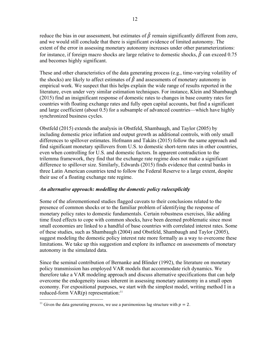reduce the bias in our assessment, but estimates of  $\hat{\beta}$  remain significantly different from zero, and we would still conclude that there is significant evidence of limited autonomy. The extent of the error in assessing monetary autonomy increases under other parameterizations: for instance, if foreign macro shocks are large relative to domestic shocks,  $\hat{\beta}$  can exceed 0.75 and becomes highly significant.

These and other characteristics of the data generating process (e.g., time-varying volatility of the shocks) are likely to affect estimates of  $\hat{\beta}$  and assessments of monetary autonomy in empirical work. We suspect that this helps explain the wide range of results reported in the literature, even under very similar estimation techniques. For instance, Klein and Shambaugh (2015) find an insignificant response of domestic rates to changes in base country rates for countries with floating exchange rates and fully open capital accounts, but find a significant and large coefficient (about 0.5) for a subsample of advanced countries—which have highly synchronized business cycles.

Obstfeld (2015) extends the analysis in Obstfeld, Shambaugh, and Taylor (2005) by including domestic price inflation and output growth as additional controls, with only small differences to spillover estimates. Hofmann and Takáts (2015) follow the same approach and find significant monetary spillovers from U.S. to domestic short-term rates in other countries, even when controlling for U.S. and domestic factors. In apparent contradiction to the trilemma framework, they find that the exchange rate regime does not make a significant difference to spillover size. Similarly, Edwards (2015) finds evidence that central banks in three Latin American countries tend to follow the Federal Reserve to a large extent, despite their use of a floating exchange rate regime.

#### *An alternative approach: modelling the domestic policy ruleexplicitly*

Some of the aforementioned studies flagged caveats to their conclusions related to the presence of common shocks or to the familiar problem of identifying the response of monetary policy rates to domestic fundamentals. Certain robustness exercises, like adding time fixed effects to cope with common shocks, have been deemed problematic since most small economies are linked to a handful of base countries with correlated interest rates. Some of these studies, such as Shambaugh (2004) and Obstfeld, Shambaugh and Taylor (2005), suggest modeling the domestic policy interest rate more formally as a way to overcome these limitations. We take up this suggestion and explore its influence on assessments of monetary autonomy in the simulated data.

Since the seminal contribution of Bernanke and Blinder (1992), the literature on monetary policy transmission has employed VAR models that accommodate rich dynamics. We therefore take a VAR modeling approach and discuss alternative specifications that can help overcome the endogeneity issues inherent in assessing monetary autonomy in a small open economy. For expositional purposes, we start with the simplest model, writing method I in a reduced-form  $VAR(p)$  representation:<sup>11</sup>

<sup>&</sup>lt;sup>11</sup> Given the data generating process, we use a parsimonious lag structure with  $p = 2$ .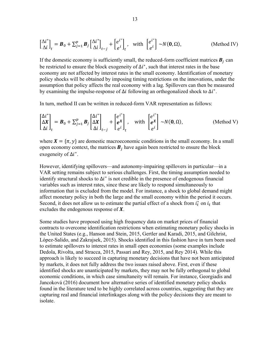$$
\begin{bmatrix} \Delta i^* \\ \Delta i \end{bmatrix}_t = \boldsymbol{B}_0 + \sum_{j=1}^p \boldsymbol{B}_j \begin{bmatrix} \Delta i^* \\ \Delta i \end{bmatrix}_{t-j} + \begin{bmatrix} e^{i^*} \\ e^i \end{bmatrix}_t, \text{ with } \begin{bmatrix} e^{i^*} \\ e^i \end{bmatrix} \sim N(\mathbf{0}, \Omega), \qquad (\text{Method IV})
$$

If the domestic economy is sufficiently small, the reduced-form coefficient matrices  $B_i$  can be restricted to ensure the block exogeneity of  $\Delta i^*$ , such that interest rates in the base economy are not affected by interest rates in the small economy. Identification of monetary policy shocks will be obtained by imposing timing restrictions on the innovations, under the assumption that policy affects the real economy with a lag. Spillovers can then be measured by examining the impulse-response of  $\Delta i$  following an orthogonalized shock to  $\Delta i^*$ .

In turn, method II can be written in reduced-form VAR representation as follows:

$$
\begin{bmatrix} \Delta i^* \\ \Delta X \\ \Delta i \end{bmatrix}_t = \boldsymbol{B}_0 + \sum_{j=1}^p \boldsymbol{B}_j \begin{bmatrix} \Delta i^* \\ \Delta X \\ \Delta i \end{bmatrix}_{t-j} + \begin{bmatrix} e^{i^*} \\ e^X \\ e^i \end{bmatrix}_t, \quad \text{with } \begin{bmatrix} e^{i^*} \\ e^X \\ e^i \end{bmatrix} \sim N(\mathbf{0}, \Omega), \tag{Method V}
$$

where  $X = \{\pi, y\}$  are domestic macroeconomic conditions in the small economy. In a small open economy context, the matrices  $B_i$  have again been restricted to ensure the block exogeneity of  $\Delta i^*$ .

However, identifying spillovers—and autonomy-impairing spillovers in particular—in a VAR setting remains subject to serious challenges. First, the timing assumption needed to identify structural shocks to  $\Delta t^*$  is not credible in the presence of endogenous financial variables such as interest rates, since these are likely to respond simultaneously to information that is excluded from the model. For instance, a shock to global demand might affect monetary policy in both the large and the small economy within the period it occurs. Second, it does not allow us to estimate the partial effect of a shock from  $i_t^*$  on  $i_t$  that excludes the endogenous response of  $X$ .

Some studies have proposed using high frequency data on market prices of financial contracts to overcome identification restrictions when estimating monetary policy shocks in the United States (e.g., Hanson and Stein, 2015, Gertler and Karadi, 2015, and Gilchrist, López-Salido, and Zakrajsek, 2015). Shocks identified in this fashion have in turn been used to estimate spillovers to interest rates in small open economies (some examples include Dedola, Rivolta, and Stracca, 2015, Passari and Rey, 2015, and Rey 2014). While this approach is likely to succeed in capturing monetary decisions that have not been anticipated by markets, it does not fully address the two issues raised above. First, even if these identified shocks are unanticipated by markets, they may not be fully orthogonal to global economic conditions, in which case simultaneity will remain. For instance, Georgiadis and Jancoková (2016) document how alternative series of identified monetary policy shocks found in the literature tend to be highly correlated across countries, suggesting that they are capturing real and financial interlinkages along with the policy decisions they are meant to isolate.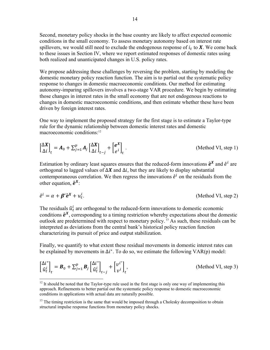Second, monetary policy shocks in the base country are likely to affect expected economic conditions in the small economy. To assess monetary autonomy based on interest rate spillovers, we would still need to exclude the endogenous response of  $i_t$  to  $\chi$ . We come back to these issues in Section IV, where we report estimated responses of domestic rates using both realized and unanticipated changes in U.S. policy rates.

We propose addressing these challenges by reversing the problem, starting by modeling the domestic monetary policy reaction function. The aim is to partial out the systematic policy response to changes in domestic macroeconomic conditions. Our method for estimating autonomy-imparing spillovers involves a two-stage VAR procedure. We begin by estimating those changes in interest rates in the small economy that are not endogenous reactions to changes in domestic macroeconomic conditions, and then estimate whether these have been driven by foreign interest rates.

One way to implement the proposed strategy for the first stage is to estimate a Taylor-type rule for the dynamic relationship between domestic interest rates and domestic macroeconomic conditions:<sup>12</sup>

$$
\begin{bmatrix} \Delta X \\ \Delta i \end{bmatrix}_{t} = A_0 + \sum_{j=1}^{p} A_j \begin{bmatrix} \Delta X \\ \Delta i \end{bmatrix}_{t-j} + \begin{bmatrix} e^X \\ e^i \end{bmatrix}_{t}.
$$
 (Method VI, step 1)

Estimation by ordinary least squares ensures that the reduced-form innovations  $\hat{\mathbf{e}}^X$  and  $\hat{\mathbf{e}}^i$  are orthogonal to lagged values of  $\Delta X$  and  $\Delta i$ , but they are likely to display substantial contemporaneous correlation. We then regress the innovations  $\hat{e}^i$  on the residuals from the other equation,  $\hat{\boldsymbol{e}}^{X}$ :

$$
\hat{e}^i = \alpha + \beta' \hat{e}^X + u_t^i. \tag{Method VI, step 2}
$$

The residuals  $\hat{u}_t^i$  are orthogonal to the reduced-form innovations to domestic economic conditions  $\hat{e}^X$ , corresponding to a timing restriction whereby expectations about the domestic outlook are predetermined with respect to monetary policy. 13 As such, these residuals can be interpreted as deviations from the central bank's historical policy reaction function characterizing its pursuit of price and output stabilization.

Finally, we quantify to what extent these residual movements in domestic interest rates can be explained by movements in  $\Delta i^*$ . To do so, we estimate the following VAR(p) model:

$$
\begin{bmatrix} \Delta i^* \\ \hat{u}_t^i \end{bmatrix}_t = \boldsymbol{B}_0 + \sum_{j=1}^p \boldsymbol{B}_j \begin{bmatrix} \Delta i^* \\ \hat{u}_t^i \end{bmatrix}_{t-j} + \begin{bmatrix} v^{i^*} \\ v^i \end{bmatrix}_t,
$$
 (Method VI, step 3)

 $12$  It should be noted that the Taylor-type rule used in the first stage is only one way of implementing this approach. Refinements to better partial out the systematic policy response to domestic macroeconomic conditions in applications with actual data are naturally possible.

<sup>&</sup>lt;sup>13</sup> The timing restriction is the same that would be imposed through a Cholesky decomposition to obtain structural impulse response functions from monetary policy shocks.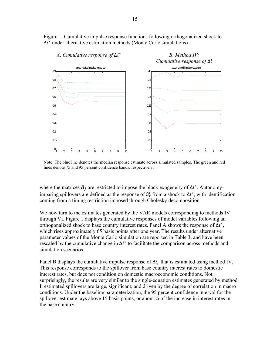Figure 1. Cumulative impulse response functions following orthogonalized shock to ∆݅∗ under alternative estimation methods (Monte Carlo simulations)



Note: The blue line denotes the median response estimate across simulated samples. The green and red lines denote 75 and 95 percent confidence bands, respectively.

where the matrices  $B_i$  are restricted to impose the block exogeneity of  $\Delta i^*$ . Autonomyimparing spillovers are defined as the response of  $\hat{u}_t^i$  from a shock to  $\Delta t^*$ , with identification coming from a timing restriction imposed through Cholesky decomposition.

We now turn to the estimates generated by the VAR models corresponding to methods IV through VI. Figure 1 displays the cumulative responses of model variables following an orthogonalized shock to base country interest rates. Panel A shows the response of  $\Delta i^*$ , which rises approximately 65 basis points after one year. The results under alternative parameter values of the Monte Carlo simulation are reported in Table 3, and have been rescaled by the cumulative change in  $\Delta i^*$  to facilitate the comparison across methods and simulation scenarios.

Panel B displays the cumulative impulse response of  $\Delta i_t$  that is estimated using method IV. This response corresponds to the spillover from base country interest rates to domestic interest rates, but does not condition on domestic macroeconomic conditions. Not surprisingly, the results are very similar to the single-equation estimates generated by method I: estimated spillovers are large, significant, and driven by the degree of correlation in macro conditions. Under the baseline parameterization, the 95 percent confidence interval for the spillover estimate lays above 15 basis points, or about  $\frac{1}{4}$  of the increase in interest rates in the base country.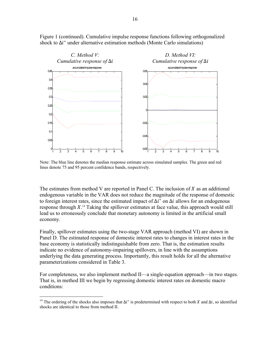

Figure 1 (continued). Cumulative impulse response functions following orthogonalized shock to  $\Delta i^*$  under alternative estimation methods (Monte Carlo simulations)

Note: The blue line denotes the median response estimate across simulated samples. The green and red lines denote 75 and 95 percent confidence bands, respectively.

The estimates from method V are reported in Panel C. The inclusion of  $X$  as an additional endogenous variable in the VAR does not reduce the magnitude of the response of domestic to foreign interest rates, since the estimated impact of  $\Delta i^*$  on  $\Delta i$  allows for an endogenous response through  $X$ .<sup>14</sup> Taking the spillover estimates at face value, this approach would still lead us to erroneously conclude that monetary autonomy is limited in the artificial small economy.

Finally, spillover estimates using the two-stage VAR approach (method VI) are shown in Panel D. The estimated response of domestic interest rates to changes in interest rates in the base economy is statistically indistinguishable from zero. That is, the estimation results indicate no evidence of autonomy-impairing spillovers, in line with the assumptions underlying the data generating process. Importantly, this result holds for all the alternative parameterizations considered in Table 3.

For completeness, we also implement method II—a single-equation approach—in two stages. That is, in method III we begin by regressing domestic interest rates on domestic macro conditions:

<sup>&</sup>lt;sup>14</sup> The ordering of the shocks also imposes that  $\Delta i^*$  is predetermined with respect to both X and  $\Delta i$ , so identified shocks are identical to those from method II.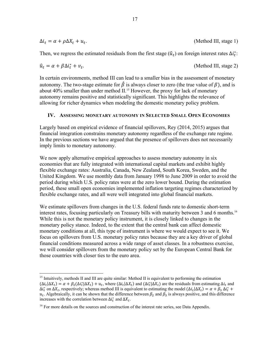| $\Delta i_t = \alpha + \rho \Delta X_t + u_t.$ | (Method III, stage 1) |
|------------------------------------------------|-----------------------|
|------------------------------------------------|-----------------------|

Then, we regress the estimated residuals from the first stage  $(\hat{u}_t)$  on foreign interest rates  $\Delta i_t^*$ :

$$
\hat{u}_t = \alpha + \beta \Delta i_t^* + v_t.
$$
 (Method III, stage 2)

In certain environments, method III can lead to a smaller bias in the assessment of monetary autonomy. The two-stage estimate for  $\hat{\beta}$  is always closer to zero (the true value of  $\beta$ ), and is about  $40\%$  smaller than under method II.<sup>15</sup> However, the proxy for lack of monetary autonomy remains positive and statistically significant. This highlights the relevance of allowing for richer dynamics when modeling the domestic monetary policy problem.

#### **IV. ASSESSING MONETARY AUTONOMY IN SELECTED SMALL OPEN ECONOMIES**

Largely based on empirical evidence of financial spillovers, Rey (2014, 2015) argues that financial integration constrains monetary autonomy regardless of the exchange rate regime. In the previous sections we have argued that the presence of spillovers does not necessarily imply limits to monetary autonomy.

We now apply alternative empirical approaches to assess monetary autonomy in six economies that are fully integrated with international capital markets and exhibit highly flexible exchange rates: Australia, Canada, New Zealand, South Korea, Sweden, and the United Kingdom. We use monthly data from January 1998 to June 2009 in order to avoid the period during which U.S. policy rates were at the zero lower bound. During the estimation period, these small open economies implemented inflation targeting regimes characterized by flexible exchange rates, and all were well integrated into global financial markets.

We estimate spillovers from changes in the U.S. federal funds rate to domestic short-term interest rates, focusing particularly on Treasury bills with maturity between 3 and 6 months.<sup>16</sup> While this is not the monetary policy instrument, it is closely linked to changes in the monetary policy stance. Indeed, to the extent that the central bank can affect domestic monetary conditions at all, this type of instrument is where we would expect to see it. We focus on spillovers from U.S. monetary policy rates because they are a key driver of global financial conditions measured across a wide range of asset classes. In a robustness exercise, we will consider spillovers from the monetary policy set by the European Central Bank for those countries with closer ties to the euro area.

 $\overline{a}$ <sup>15</sup> Intuitively, methods II and III are quite similar: Method II is equivalent to performing the estimation  $(\Delta i_t | \Delta X_t) = \alpha + \beta_2 (\Delta i_t^* | \Delta X_t) + u_t$ , where  $(\Delta i_t | \Delta X_t)$  and  $(\Delta i_t^* | \Delta X_t)$  are the residuals from estimating  $\Delta i_t$  and  $\Delta i_t^*$  on  $\Delta X_t$ , respectively; whereas method III is equivalent to estimating the model  $(\Delta i_t | \Delta X_t) = \alpha + \beta_3 \Delta i_t^*$  +  $u_t$ . Algebraically, it can be shown that the difference between  $\beta_2$  and  $\beta_3$  is always positive, and this difference increases with the correlation between  $\Delta i_t^*$  and  $\Delta X_t$ .

<sup>&</sup>lt;sup>16</sup> For more details on the sources and construction of the interest rate series, see Data Appendix.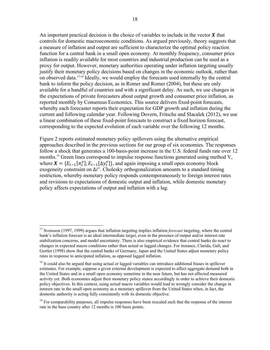An important practical decision is the choice of variables to include in the vector  $\boldsymbol{X}$  that controls for domestic macroeconomic conditions. As argued previously, theory suggests that a measure of inflation and output are sufficient to characterize the optimal policy reaction function for a central bank in a small open economy. At monthly frequency, consumer price inflation is readily available for most countries and industrial production can be used as a proxy for output. However, monetary authorities operating under inflation targeting usually justify their monetary policy decisions based on changes in the economic outlook, rather than on observed data.17,18 Ideally, we would employ the forecasts used internally by the central bank to inform the policy decision, as in Romer and Romer (2004), but these are only available for a handful of countries and with a significant delay. As such, we use changes in the expectations of private forecasters about output growth and consumer price inflation, as reported monthly by Consensus Economics. This source delivers fixed-point forecasts, whereby each forecaster reports their expectation for GDP growth and inflation during the current and following calendar year. Following Dovern, Fritsche and Slacalek (2012), we use a linear combination of these fixed-point forecasts to construct a fixed horizon forecast, corresponding to the expected evolution of each variable over the following 12 months.

Figure 2 reports estimated monetary policy spillovers using the alternative empirical approaches described in the previous sections for our group of six economies. The responses follow a shock that generates a 100-basis-point increase in the U.S. federal funds rate over 12 months.<sup>19</sup> Green lines correspond to impulse response functions generated using method V, where  $X = \{E_{t-1}[\pi_t^e]; E_{t-1}[\Delta y_t^e]\}$ , and again imposing a small open economy block exogeneity constraint on  $\Delta i^*$ . Cholesky orthogonalization amounts to a standard timing restriction, whereby monetary policy responds contemporaneously to foreign interest rates and revisions to expectations of domestic output and inflation, while domestic monetary policy affects expectations of output and inflation with a lag.

<sup>17</sup> Svensson (1997, 1999) argues that inflation targeting implies inflation *forecast* targeting, where the central bank's inflation forecast is an ideal intermediate target, even in the presence of output and/or interest rate stabilization concerns, and model uncertainty. There is also empirical evidence that central banks do react to changes in expected macro conditions rather than actual or lagged changes. For instance, Clarida, Galí, and Gertler (1998) show that the central banks of Germany, Japan and the United States adjust monetary policy rates in response to anticipated inflation, as opposed lagged inflation.

<sup>&</sup>lt;sup>18</sup> It could also be argued that using actual or lagged variables can introduce additional biases in spillover estimates. For example, suppose a given external development is expected to affect aggregate demand both in the United States and in a small open economy sometime in the near future, but has not affected measured activity yet. Both economies adjust their monetary policy stance accordingly in order to achieve their domestic policy objectives. In this context, using actual macro variables would lead to wrongly consider the change in interest rate in the small open economy as a monetary spillover from the United States when, in fact, the domestic authority is acting fully consistently with its domestic objective.

<sup>&</sup>lt;sup>19</sup> For comparability purposes, all impulse responses have been rescaled such that the response of the interest rate in the base country after 12 months is 100 basis points.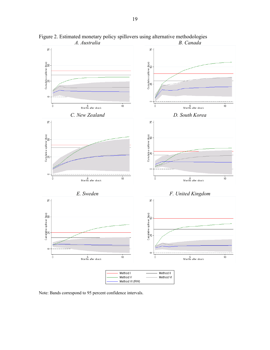

Figure 2. Estimated monetary policy spillovers using alternative methodologies *A. Australia B. Canada* 

Note: Bands correspond to 95 percent confidence intervals.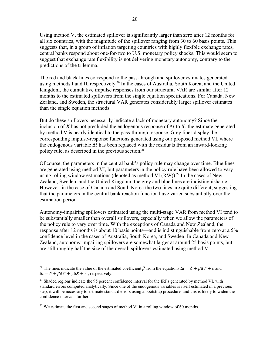Using method V, the estimated spillover is significantly larger than zero after 12 months for all six countries, with the magnitude of the spillover ranging from 30 to 60 basis points. This suggests that, in a group of inflation targeting countries with highly flexible exchange rates, central banks respond about one-for-two to U.S. monetary policy shocks. This would seem to suggest that exchange rate flexibility is not delivering monetary autonomy, contrary to the predictions of the trilemma.

The red and black lines correspond to the pass-through and spillover estimates generated using methods I and II, respectively.<sup>20</sup> In the cases of Australia, South Korea, and the United Kingdom, the cumulative impulse responses from our structural VAR are similar after 12 months to the estimated spillovers from the single equation specifications. For Canada, New Zealand, and Sweden, the structural VAR generates considerably larger spillover estimates than the single equation methods.

But do these spillovers necessarily indicate a lack of monetary autonomy? Since the inclusion of  $X$  has not precluded the endogenous response of  $\Delta i$  to  $X$ , the estimate generated by method V is nearly identical to the pass-through response. Grey lines display the corresponding impulse-response functions generated using our proposed method VI, where the endogenous variable  $\Delta i$  has been replaced with the residuals from an inward-looking policy rule, as described in the previous section.<sup>21</sup>

Of course, the parameters in the central bank's policy rule may change over time. Blue lines are generated using method VI, but parameters in the policy rule have been allowed to vary using rolling window estimations (denoted as method VI  $(RW)$ ).<sup>22</sup> In the cases of New Zealand, Sweden, and the United Kingdom, the grey and blue lines are indistinguishable. However, in the case of Canada and South Korea the two lines are quite different, suggesting that the parameters in the central bank reaction function have varied substantially over the estimation period.

Autonomy-impairing spillovers estimated using the multi-stage VAR from method VI tend to be substantially smaller than overall spillovers, especially when we allow the parameters of the policy rule to vary over time. With the exceptions of Canada and New Zealand, the response after 12 months is about 10 basis points—and is indistinguishable from zero at a 5% confidence level in the cases of Australia, South Korea, and Sweden. In Canada and New Zealand, autonomy-impairing spillovers are somewhat larger at around 25 basis points, but are still roughly half the size of the overall spillovers estimated using method V.

<sup>&</sup>lt;sup>20</sup> The lines indicate the value of the estimated coefficient  $\hat{\beta}$  from the equations  $\Delta i = \delta + \beta \Delta i^* + \varepsilon$  and  $\Delta i = \delta + \beta \Delta i^* + \gamma \Delta X + \varepsilon$ , respectively.

<sup>&</sup>lt;sup>21</sup> Shaded regions indicate the 95 percent confidence interval for the IRFs generated by method VI, with standard errors computed analytically. Since one of the endogenous variables is itself estimated in a previous step, it will be necessary to estimate standard errors using a bootstrap procedure, and this is likely to widen the confidence intervals further.

 $^{22}$  We estimate the first and second stages of method VI in a rolling window of 60 months.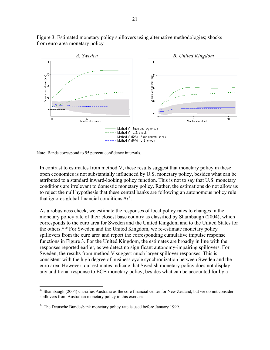

Figure 3. Estimated monetary policy spillovers using alternative methodologies; shocks from euro area monetary policy

Note: Bands correspond to 95 percent confidence intervals.

In contrast to estimates from method V, these results suggest that monetary policy in these open economies is not substantially influenced by U.S. monetary policy, besides what can be attributed to a standard inward-looking policy function. This is not to say that U.S. monetary conditions are irrelevant to domestic monetary policy. Rather, the estimations do not allow us to reject the null hypothesis that these central banks are following an autonomous policy rule that ignores global financial conditions  $\Delta i^*$ .

As a robustness check, we estimate the responses of local policy rates to changes in the monetary policy rate of their closest base country as classified by Shambaugh (2004), which corresponds to the euro area for Sweden and the United Kingdom and to the United States for the others.23,24 For Sweden and the United Kingdom, we re-estimate monetary policy spillovers from the euro area and report the corresponding cumulative impulse response functions in Figure 3. For the United Kingdom, the estimates are broadly in line with the responses reported earlier, as we detect no significant autonomy-impairing spillovers. For Sweden, the results from method V suggest much larger spillover responses. This is consistent with the high degree of business cycle synchronization between Sweden and the euro area. However, our estimates indicate that Swedish monetary policy does not display any additional response to ECB monetary policy, besides what can be accounted for by a

<u>.</u>

<sup>&</sup>lt;sup>23</sup> Shambaugh (2004) classifies Australia as the core financial center for New Zealand, but we do not consider spillovers from Australian monetary policy in this exercise.

 $24$  The Deutsche Bundesbank monetary policy rate is used before January 1999.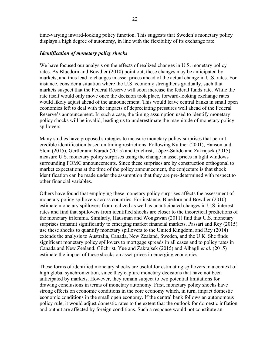time-varying inward-looking policy function. This suggests that Sweden's monetary policy displays a high degree of autonomy, in line with the flexibility of its exchange rate.

#### *Identification of monetary policy shocks*

We have focused our analysis on the effects of realized changes in U.S. monetary policy rates. As Bluedorn and Bowdler (2010) point out, these changes may be anticipated by markets, and thus lead to changes in asset prices ahead of the actual change in U.S. rates. For instance, consider a situation where the U.S. economy strengthens gradually, such that markets suspect that the Federal Reserve will soon increase the federal funds rate. While the rate itself would only move once the decision took place, forward-looking exchange rates would likely adjust ahead of the announcement. This would leave central banks in small open economies left to deal with the impacts of depreciating pressures well ahead of the Federal Reserve's announcement. In such a case, the timing assumption used to identify monetary policy shocks will be invalid, leading us to underestimate the magnitude of monetary policy spillovers.

Many studies have proposed strategies to measure monetary policy surprises that permit credible identification based on timing restrictions. Following Kuttner (2001), Hanson and Stein (2015), Gertler and Karadi (2015) and Gilchrist, López-Salido and Zakrajsek (2015) measure U.S. monetary policy surprises using the change in asset prices in tight windows surrounding FOMC announcements. Since these surprises are by construction orthogonal to market expectations at the time of the policy announcement, the conjecture is that shock identification can be made under the assumption that they are pre-determined with respect to other financial variables.

Others have found that employing these monetary policy surprises affects the assessment of monetary policy spillovers across countries. For instance, Bluedorn and Bowdler (2010) estimate monetary spillovers from realized as well as unanticipated changes in U.S. interest rates and find that spillovers from identified shocks are closer to the theoretical predictions of the monetary trilemma. Similarly, Hausman and Wongswan (2011) find that U.S. monetary surprises transmit significantly to emerging market financial markets. Passari and Rey (2015) use these shocks to quantify monetary spillovers to the United Kingdom, and Rey (2014) extends the analysis to Australia, Canada, New Zealand, Sweden, and the U.K. She finds significant monetary policy spillovers to mortgage spreads in all cases and to policy rates in Canada and New Zealand. Gilchrist, Yue and Zakrajsek (2015) and Albagli *et al.* (2015) estimate the impact of these shocks on asset prices in emerging economies.

These forms of identified monetary shocks are useful for estimating spillovers in a context of high global synchronization, since they capture monetary decisions that have not been anticipated by markets. However, they remain subject to two potential limitations for drawing conclusions in terms of monetary autonomy. First, monetary policy shocks have strong effects on economic conditions in the core economy which, in turn, impact domestic economic conditions in the small open economy. If the central bank follows an autonomous policy rule, it would adjust domestic rates to the extent that the outlook for domestic inflation and output are affected by foreign conditions. Such a response would not constitute an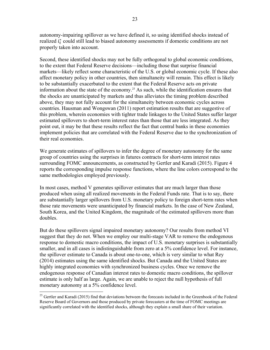autonomy-impairing spillover as we have defined it, so using identified shocks instead of realized  $i_t^*$  could still lead to biased autonomy assessments if domestic conditions are not properly taken into account.

Second, these identified shocks may not be fully orthogonal to global economic conditions, to the extent that Federal Reserve decisions—including those that surprise financial markets—likely reflect some characteristic of the U.S. or global economic cycle. If these also affect monetary policy in other countries, then simultaneity will remain. This effect is likely to be substantially exacerbated to the extent that the Federal Reserve acts on private information about the state of the economy.<sup>25</sup> As such, while the identification ensures that the shocks are unanticipated by markets and thus alleviates the timing problem described above, they may not fully account for the simultaneity between economic cycles across countries. Hausman and Wongswan (2011) report estimation results that are suggestive of this problem, wherein economies with tighter trade linkages to the United States suffer larger estimated spillovers to short-term interest rates than those that are less integrated. As they point out, it may be that these results reflect the fact that central banks in these economies implement policies that are correlated with the Federal Reserve due to the synchronization of their real economies.

We generate estimates of spillovers to infer the degree of monetary autonomy for the same group of countries using the surprises in futures contracts for short-term interest rates surrounding FOMC announcements, as constructed by Gertler and Karadi (2015). Figure 4 reports the corresponding impulse response functions, where the line colors correspond to the same methodologies employed previously.

In most cases, method V generates spillover estimates that are much larger than those produced when using all realized movements in the Federal Funds rate. That is to say, there are substantially larger spillovers from U.S. monetary policy to foreign short-term rates when those rate movements were unanticipated by financial markets. In the case of New Zealand, South Korea, and the United Kingdom, the magnitude of the estimated spillovers more than doubles.

But do these spillovers signal impaired monetary autonomy? Our results from method VI suggest that they do not. When we employ our multi-stage VAR to remove the endogenous response to domestic macro conditions, the impact of U.S. monetary surprises is substantially smaller, and in all cases is indistinguishable from zero at a 5% confidence level. For instance, the spillover estimate to Canada is about one-to-one, which is very similar to what Rey (2014) estimates using the same identified shocks. But Canada and the United States are highly integrated economies with synchronized business cycles. Once we remove the endogenous response of Canadian interest rates to domestic macro conditions, the spillover estimate is only half as large. Again, we are unable to reject the null hypothesis of full monetary autonomy at a 5% confidence level.

<u>.</u>

 $25$  Gertler and Karadi (2015) find that deviations between the forecasts included in the Greenbook of the Federal Reserve Board of Governors and those produced by private forecasters at the time of FOMC meetings are significantly correlated with the identified shocks, although they explain a small share of their variation.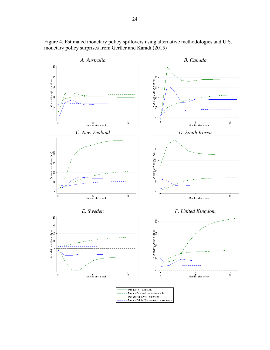

Figure 4. Estimated monetary policy spillovers using alternative methodologies and U.S. monetary policy surprises from Gertler and Karadi (2015)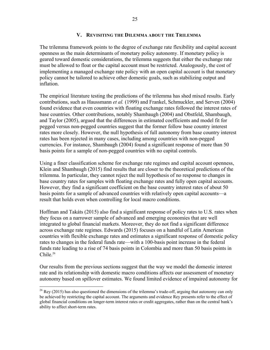#### **V. REVISITING THE DILEMMA ABOUT THE TRILEMMA**

The trilemma framework points to the degree of exchange rate flexibility and capital account openness as the main determinants of monetary policy autonomy. If monetary policy is geared toward domestic considerations, the trilemma suggests that either the exchange rate must be allowed to float or the capital account must be restricted. Analogously, the cost of implementing a managed exchange rate policy with an open capital account is that monetary policy cannot be tailored to achieve other domestic goals, such as stabilizing output and inflation.

The empirical literature testing the predictions of the trilemma has shed mixed results. Early contributions, such as Haussmann *et al.* (1999) and Frankel, Schmuckler, and Serven (2004) found evidence that even countries with floating exchange rates followed the interest rates of base countries. Other contributions, notably Shambaugh (2004) and Obstfeld, Shambaugh, and Taylor (2005), argued that the differences in estimated coefficients and model fit for pegged versus non-pegged countries suggest that the former follow base country interest rates more closely. However, the null hypothesis of full autonomy from base country interest rates has been rejected in many cases, including among countries with non-pegged currencies. For instance, Shambaugh (2004) found a significant response of more than 50 basis points for a sample of non-pegged countries with no capital controls.

Using a finer classification scheme for exchange rate regimes and capital account openness, Klein and Shambaugh (2015) find results that are closer to the theoretical predictions of the trilemma. In particular, they cannot reject the null hypothesis of no response to changes in base country rates for samples with floating exchange rates and fully open capital accounts. However, they find a significant coefficient on the base country interest rates of about 50 basis points for a sample of advanced countries with relatively open capital accounts—a result that holds even when controlling for local macro conditions.

Hoffman and Takáts (2015) also find a significant response of policy rates to U.S. rates when they focus on a narrower sample of advanced and emerging economies that are well integrated to global financial markets. Moreover, they do not find a significant difference across exchange rate regimes. Edwards (2015) focuses on a handful of Latin American countries with flexible exchange rates and estimates a significant response of domestic policy rates to changes in the federal funds rate—with a 100-basis point increase in the federal funds rate leading to a rise of 74 basis points in Colombia and more than 50 basis points in Chile $26$ 

Our results from the previous sections suggest that the way we model the domestic interest rate and its relationship with domestic macro conditions affects our assessment of monetary autonomy based on spillover estimates. We found limited evidence of impaired autonomy for

<sup>&</sup>lt;sup>26</sup> Rey (2015) has also questioned the dimensions of the trilemma's trade-off, arguing that autonomy can only be achieved by restricting the capital account. The arguments and evidence Rey presents refer to the effect of global financial conditions on longer-term interest rates or credit aggregates, rather than on the central bank's ability to affect short-term rates.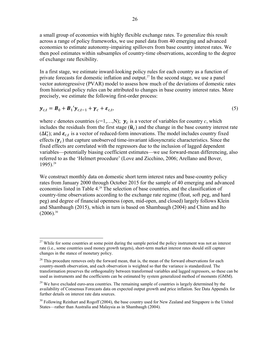a small group of economies with highly flexible exchange rates. To generalize this result across a range of policy frameworks, we use panel data from 40 emerging and advanced economies to estimate autonomy-impairing spillovers from base country interest rates. We then pool estimates within subsamples of country-time observations, according to the degree of exchange rate flexibility.

In a first stage, we estimate inward-looking policy rules for each country as a function of private forecasts for domestic inflation and output.<sup>27</sup> In the second stage, we use a panel vector autoregressive (PVAR) model to assess how much of the deviations of domestic rates from historical policy rules can be attributed to changes in base country interest rates. More precisely, we estimate the following first-order process:

$$
\mathbf{y}_{c,t} = \mathbf{B}_0 + \mathbf{B}_1' \mathbf{y}_{c,t-1} + \mathbf{\gamma}_c + \boldsymbol{\varepsilon}_{c,t},
$$
\n<sup>(5)</sup>

where *c* denotes countries ( $c=1,...,N$ );  $y_c$  is a vector of variables for country *c*, which includes the residuals from the first stage  $(\hat{u}_c)$  and the change in the base country interest rate  $(\Delta i_{c})$ ; and  $\varepsilon_{c,t}$  is a vector of reduced-form innovations. The model includes country fixed effects  $(\gamma_c)$  that capture unobserved time-invariant idiosyncratic characteristics. Since the fixed effects are correlated with the regressors due to the inclusion of lagged dependent variables—potentially biasing coefficient estimates—we use forward-mean differencing, also referred to as the 'Helmert procedure' (Love and Zicchino, 2006; Arellano and Bover, 1995).28

We construct monthly data on domestic short term interest rates and base-country policy rates from January 2000 through October 2015 for the sample of 40 emerging and advanced economies listed in Table 4.<sup>29</sup> The selection of base countries, and the classification of country-time observations according to the exchange rate regime (float, soft peg, and hard peg) and degree of financial openness (open, mid-open, and closed) largely follows Klein and Shambaugh (2015), which in turn is based on Shambaugh (2004) and Chinn and Ito  $(2006)^{30}$ 

<u>.</u>

<sup>&</sup>lt;sup>27</sup> While for some countries at some point during the sample period the policy instrument was not an interest rate (i.e., some countries used money growth targets), short-term market interest rates should still capture changes in the stance of monetary policy.

<sup>&</sup>lt;sup>28</sup> This procedure removes only the forward mean, that is, the mean of the forward observations for each country-month observation, and each observation is weighted so that the variance is standardized. The transformation preserves the orthogonality between transformed variables and lagged regressors, so these can be used as instruments and the coefficients can be estimated by system generalized method of moments (GMM).

<sup>&</sup>lt;sup>29</sup> We have excluded euro-area countries. The remaining sample of countries is largely determined by the availability of Consensus Forecasts data on expected output growth and price inflation. See Data Appendix for further details on interest rate data sources.

 $30$  Following Reinhart and Rogoff (2004), the base country used for New Zealand and Singapore is the United States—rather than Australia and Malaysia as in Shambaugh (2004).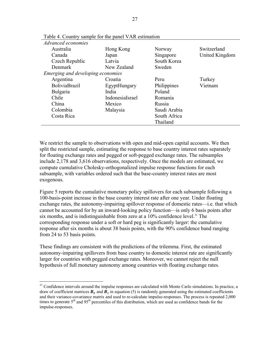| Advanced economies                |                 |              |                |
|-----------------------------------|-----------------|--------------|----------------|
| Australia                         | Hong Kong       | Norway       | Switzerland    |
| Canada                            | Japan           | Singapore    | United Kingdom |
| Czech Republic                    | Latvia          | South Korea  |                |
| <b>Denmark</b>                    | New Zealand     | Sweden       |                |
| Emerging and developing economies |                 |              |                |
| Argentina                         | Croatia         | Peru         | Turkey         |
| <b>BoliviaBrazil</b>              | EgyptHungary    | Philippines  | Vietnam        |
| Bulgaria                          | India           | Poland       |                |
| Chile                             | IndonesiaIsrael | Romania      |                |
| China                             | Mexico          | Russia       |                |
| Colombia                          | Malaysia        | Saudi Arabia |                |
| Costa Rica                        |                 | South Africa |                |
|                                   |                 | Thailand     |                |

Table 4. Country sample for the panel VAR estimation

We restrict the sample to observations with open and mid-open capital accounts. We then split the restricted sample, estimating the response to base country interest rates separately for floating exchange rates and pegged or soft-pegged exchange rates. The subsamples include 2,178 and 3,616 observations, respectively. Once the models are estimated, we compute cumulative Cholesky-orthogonalized impulse response functions for each subsample, with variables ordered such that the base-country interest rates are most exogenous.

Figure 5 reports the cumulative monetary policy spillovers for each subsample following a 100-basis-point increase in the base country interest rate after one year. Under floating exchange rates, the autonomy-impairing spillover response of domestic rates—i.e. that which cannot be accounted for by an inward-looking policy function—is only 6 basis points after six months, and is indistinguishable from zero at a  $10\%$  confidence level.<sup>31</sup> The corresponding response under a soft or hard peg is significantly larger: the cumulative response after six months is about 38 basis points, with the 90% confidence band ranging from 24 to 53 basis points.

These findings are consistent with the predictions of the trilemma. First, the estimated autonomy-impairing spillovers from base country to domestic interest rate are significantly larger for countries with pegged exchange rates. Moreover, we cannot reject the null hypothesis of full monetary autonomy among countries with floating exchange rates.

<sup>&</sup>lt;sup>31</sup> Confidence intervals around the impulse responses are calculated with Monte Carlo simulations. In practice, a draw of coefficient matrices  $\bm{B}_0$  and  $\bm{B}_1$  in equation (5) is randomly generated using the estimated coefficients and their variance-covariance matrix and used to re-calculate impulse-responses. The process is repeated 2,000 times to generate  $5<sup>th</sup>$  and  $95<sup>th</sup>$  percentiles of this distribution, which are used as confidence bands for the impulse-responses.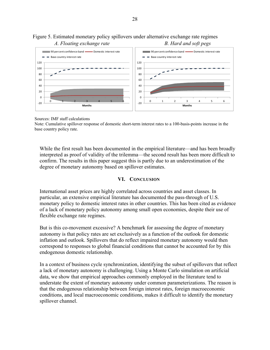### Figure 5. Estimated monetary policy spillovers under alternative exchange rate regimes *A. Floating exchange rate* B. Hard and soft pegs



Sources: IMF staff calculations

Note: Cumulative spillover response of domestic short-term interest rates to a 100-basis-points increase in the base country policy rate.

While the first result has been documented in the empirical literature—and has been broadly interpreted as proof of validity of the trilemma—the second result has been more difficult to confirm. The results in this paper suggest this is partly due to an underestimation of the degree of monetary autonomy based on spillover estimates.

#### **VI. CONCLUSION**

International asset prices are highly correlated across countries and asset classes. In particular, an extensive empirical literature has documented the pass-through of U.S. monetary policy to domestic interest rates in other countries. This has been cited as evidence of a lack of monetary policy autonomy among small open economies, despite their use of flexible exchange rate regimes.

But is this co-movement excessive? A benchmark for assessing the degree of monetary autonomy is that policy rates are set exclusively as a function of the outlook for domestic inflation and outlook. Spillovers that do reflect impaired monetary autonomy would then correspond to responses to global financial conditions that cannot be accounted for by this endogenous domestic relationship.

In a context of business cycle synchronization, identifying the subset of spillovers that reflect a lack of monetary autonomy is challenging. Using a Monte Carlo simulation on artificial data, we show that empirical approaches commonly employed in the literature tend to understate the extent of monetary autonomy under common parameterizations. The reason is that the endogenous relationship between foreign interest rates, foreign macroeconomic conditions, and local macroeconomic conditions, makes it difficult to identify the monetary spillover channel.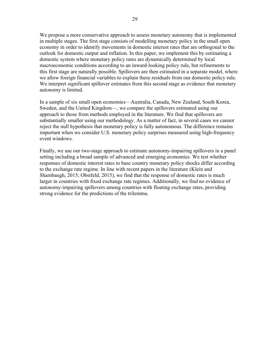We propose a more conservative approach to assess monetary autonomy that is implemented in multiple stages. The first stage consists of modelling monetary policy in the small open economy in order to identify movements in domestic interest rates that are orthogonal to the outlook for domestic output and inflation. In this paper, we implement this by estimating a domestic system where monetary policy rates are dynamically determined by local macroeconomic conditions according to an inward-looking policy rule, but refinements to this first stage are naturally possible. Spillovers are then estimated in a separate model, where we allow foreign financial variables to explain these residuals from our domestic policy rule. We interpret significant spillover estimates from this second stage as evidence that monetary autonomy is limited.

In a sample of six small open economies—Australia, Canada, New Zealand, South Korea, Sweden, and the United Kingdom—, we compare the spillovers estimated using our approach to those from methods employed in the literature. We find that spillovers are substantially smaller using our methodology. As a matter of fact, in several cases we cannot reject the null hypothesis that monetary policy is fully autonomous. The difference remains important when we consider U.S. monetary policy surprises measured using high-frequency event windows.

Finally, we use our two-stage approach to estimate autonomy-impairing spillovers in a panel setting including a broad sample of advanced and emerging economies. We test whether responses of domestic interest rates to base country monetary policy shocks differ according to the exchange rate regime. In line with recent papers in the literature (Klein and Shambaugh, 2015; Obstfeld, 2015), we find that the response of domestic rates is much larger in countries with fixed exchange rate regimes. Additionally, we find no evidence of autonomy-impairing spillovers among countries with floating exchange rates, providing strong evidence for the predictions of the trilemma.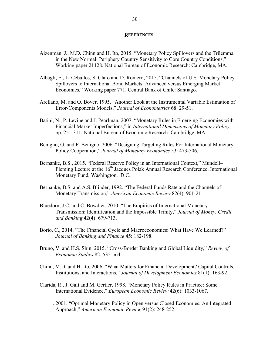#### **REFERENCES**

- Aizenman, J., M.D. Chinn and H. Ito, 2015. "Monetary Policy Spillovers and the Trilemma in the New Normal: Periphery Country Sensitivity to Core Country Conditions," Working paper 21128. National Bureau of Economic Research: Cambridge, MA.
- Albagli, E., L. Ceballos, S. Claro and D. Romero, 2015. "Channels of U.S. Monetary Policy Spillovers to International Bond Markets: Advanced versus Emerging Market Economies," Working paper 771. Central Bank of Chile: Santiago.
- Arellano, M. and O. Bover, 1995. "Another Look at the Instrumental Variable Estimation of Error-Components Models," *Journal of Econometrics* 68: 29-51.
- Batini, N., P. Levine and J. Pearlman, 2007. "Monetary Rules in Emerging Economies with Financial Market Imperfections," in *International Dimensions of Monetary Policy*, pp. 251-311. National Bureau of Economic Research: Cambridge, MA.
- Benigno, G. and P. Benigno. 2006. "Designing Targeting Rules For International Monetary Policy Cooperation," *Journal of Monetary Economics* 53: 473-506.
- Bernanke, B.S., 2015. "Federal Reserve Policy in an International Context," Mundell– Fleming Lecture at the 16<sup>th</sup> Jacques Polak Annual Research Conference, International Monetary Fund, Washington, D.C.
- Bernanke, B.S. and A.S. Blinder, 1992. "The Federal Funds Rate and the Channels of Monetary Transmission," *American Economic Review* 82(4): 901-21.
- Bluedorn, J.C. and C. Bowdler, 2010. "The Empirics of International Monetary Transmission: Identification and the Impossible Trinity," *Journal of Money, Credit and Banking* 42(4): 679-713.
- Borio, C., 2014. "The Financial Cycle and Macroeconomics: What Have We Learned?" *Journal of Banking and Finance* 45: 182-198.
- Bruno, V. and H.S. Shin, 2015. "Cross-Border Banking and Global Liquidity," *Review of Economic Studies* 82: 535-564.
- Chinn, M.D. and H. Ito, 2006. "What Matters for Financial Development? Capital Controls, Institutions, and Interactions," *Journal of Development Economics* 81(1): 163-92.
- Clarida, R., J. Galí and M. Gertler, 1998. "Monetary Policy Rules in Practice: Some International Evidence," *European Economic Review* 42(6): 1033-1067.
- \_\_\_\_\_. 2001. "Optimal Monetary Policy in Open versus Closed Economies: An Integrated Approach," *American Economic Review* 91(2): 248-252.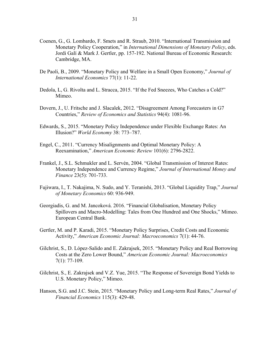- Coenen, G., G. Lombardo, F. Smets and R. Straub, 2010. "International Transmission and Monetary Policy Cooperation," in *International Dimensions of Monetary Policy*, eds. Jordi Galí & Mark J. Gertler, pp. 157-192. National Bureau of Economic Research: Cambridge, MA.
- De Paoli, B., 2009. "Monetary Policy and Welfare in a Small Open Economy," *Journal of International Economics* 77(1): 11-22.
- Dedola, L, G. Rivolta and L. Stracca, 2015. "If the Fed Sneezes, Who Catches a Cold?" Mimeo.
- Dovern, J., U. Fritsche and J. Slacalek, 2012. "Disagreement Among Forecasters in G7 Countries," *Review of Economics and Statistics* 94(4): 1081-96.
- Edwards, S., 2015. "Monetary Policy Independence under Flexible Exchange Rates: An Illusion?" *World Economy* 38: 773–787.
- Engel, C., 2011. "Currency Misalignments and Optimal Monetary Policy: A Reexamination," *American Economic Review* 101(6): 2796-2822.
- Frankel, J., S.L. Schmukler and L. Servén, 2004. "Global Transmission of Interest Rates: Monetary Independence and Currency Regime," *Journal of International Money and Finance* 23(5): 701-733.
- Fujiwara, I., T. Nakajima, N. Sudo, and Y. Teranishi, 2013. "Global Liquidity Trap," *Journal of Monetary Economics* 60: 936-949.
- Georgiadis, G. and M. Jancoková. 2016. "Financial Globalisation, Monetary Policy Spillovers and Macro-Modelling: Tales from One Hundred and One Shocks," Mimeo. European Central Bank.
- Gertler, M. and P. Karadi, 2015. "Monetary Policy Surprises, Credit Costs and Economic Activity," *American Economic Journal: Macroeconomics* 7(1): 44-76.
- Gilchrist, S., D. López-Salido and E. Zakrajsek, 2015. "Monetary Policy and Real Borrowing Costs at the Zero Lower Bound," *American Economic Journal: Macroeconomics* 7(1): 77-109.
- Gilchrist, S., E. Zakrajsek and V.Z. Yue, 2015. "The Response of Sovereign Bond Yields to U.S. Monetary Policy," Mimeo.
- Hanson, S.G. and J.C. Stein, 2015. "Monetary Policy and Long-term Real Rates," *Journal of Financial Economics* 115(3): 429-48.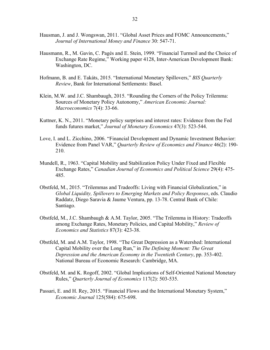- Hausman, J. and J. Wongswan, 2011. "Global Asset Prices and FOMC Announcements," *Journal of International Money and Finance* 30: 547-71.
- Hausmann, R., M. Gavin, C. Pagés and E. Stein, 1999. "Financial Turmoil and the Choice of Exchange Rate Regime," Working paper 4128, Inter-American Development Bank: Washington, DC.
- Hofmann, B. and E. Takáts, 2015. "International Monetary Spillovers," *BIS Quarterly Review*, Bank for International Settlements: Basel.
- Klein, M.W. and J.C. Shambaugh, 2015. "Rounding the Corners of the Policy Trilemma: Sources of Monetary Policy Autonomy," *American Economic Journal: Macroeconomics* 7(4): 33-66.
- Kuttner, K. N., 2011. "Monetary policy surprises and interest rates: Evidence from the Fed funds futures market," *Journal of Monetary Economics* 47(3): 523-544.
- Love, I. and L. Zicchino, 2006. "Financial Development and Dynamic Investment Behavior: Evidence from Panel VAR," *Quarterly Review of Economics and Finance* 46(2): 190- 210.
- Mundell, R., 1963. "Capital Mobility and Stabilization Policy Under Fixed and Flexible Exchange Rates," *Canadian Journal of Economics and Political Science* 29(4): 475- 485.
- Obstfeld, M., 2015. "Trilemmas and Tradeoffs: Living with Financial Globalization," in *Global Liquidity, Spillovers to Emerging Markets and Policy Responses*, eds. Claudio Raddatz, Diego Saravia & Jaume Ventura, pp. 13-78. Central Bank of Chile: Santiago.
- Obstfeld, M., J.C. Shambaugh & A.M. Taylor, 2005. "The Trilemma in History: Tradeoffs among Exchange Rates, Monetary Policies, and Capital Mobility," *Review of Economics and Statistics* 87(3): 423-38.
- Obstfeld, M. and A.M. Taylor, 1998. "The Great Depression as a Watershed: International Capital Mobility over the Long Run," in *The Defining Moment: The Great Depression and the American Economy in the Twentieth Century*, pp. 353-402. National Bureau of Economic Research: Cambridge, MA.
- Obstfeld, M. and K. Rogoff, 2002. "Global Implications of Self-Oriented National Monetary Rules," *Quarterly Journal of Economics* 117(2): 503-535.
- Passari, E. and H. Rey, 2015. "Financial Flows and the International Monetary System," *Economic Journal* 125(584): 675-698.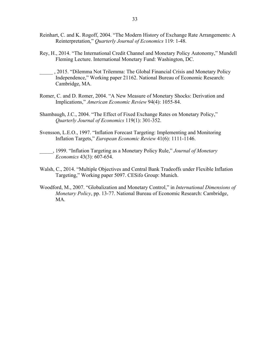- Reinhart, C. and K. Rogoff, 2004. "The Modern History of Exchange Rate Arrangements: A Reinterpretation," *Quarterly Journal of Economics* 119: 1-48.
- Rey, H., 2014. "The International Credit Channel and Monetary Policy Autonomy," Mundell Fleming Lecture. International Monetary Fund: Washington, DC.
- \_\_\_\_\_ , 2015. "Dilemma Not Trilemma: The Global Financial Crisis and Monetary Policy Independence," Working paper 21162. National Bureau of Economic Research: Cambridge, MA.
- Romer, C. and D. Romer, 2004. "A New Measure of Monetary Shocks: Derivation and Implications," *American Economic Review* 94(4): 1055-84.
- Shambaugh, J.C., 2004. "The Effect of Fixed Exchange Rates on Monetary Policy," *Quarterly Journal of Economics* 119(1): 301-352.
- Svensson, L.E.O., 1997. "Inflation Forecast Targeting: Implementing and Monitoring Inflation Targets," *European Economic Review* 41(6): 1111-1146.
- \_\_\_\_\_, 1999. "Inflation Targeting as a Monetary Policy Rule," *Journal of Monetary Economics* 43(3): 607-654.
- Walsh, C., 2014. "Multiple Objectives and Central Bank Tradeoffs under Flexible Inflation Targeting," Working paper 5097. CESifo Group: Munich.
- Woodford, M., 2007. "Globalization and Monetary Control," in *International Dimensions of Monetary Policy*, pp. 13-77. National Bureau of Economic Research: Cambridge, MA.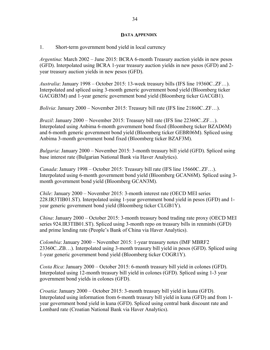#### **DATA APPENDIX**

#### 1. Short-term government bond yield in local currency

*Argentina*: March 2002 – June 2015: BCRA 6-month Treasury auction yields in new pesos (GFD). Interpolated using BCRA 1-year treasury auction yields in new pesos (GFD) and 2 year treasury auction yields in new pesos (GFD).

*Australia*: January 1998 – October 2015: 13-week treasury bills (IFS line 19360C..ZF…). Interpolated and spliced using 3-month generic government bond yield (Bloomberg ticker GACGB3M) and 1-year generic government bond yield (Bloomberg ticker GACGB1).

*Bolivia*: January 2000 – November 2015: Treasury bill rate (IFS line 21860C..ZF…).

*Brazil*: January 2000 – November 2015: Treasury bill rate (IFS line 22360C..ZF…). Interpolated using Anbima 6-month government bond fixed (Bloomberg ticker BZAD6M) and 6-month generic government bond yield (Bloomberg ticker GEBR06M). Spliced using Anbima 3-month government bond fixed (Bloomberg ticker BZAF3M).

*Bulgaria*: January 2000 – November 2015: 3-month treasury bill yield (GFD). Spliced using base interest rate (Bulgarian National Bank via Haver Analytics).

*Canada*: January 1998 – October 2015: Treasury bill rate (IFS line 15660C..ZF…). Interpolated using 6-month government bond yield (Bloomberg GCAN6M). Spliced using 3 month government bond yield (Bloomberg GCAN3M).

*Chile*: January 2000 – November 2015: 3-month interest rate (OECD MEI series 228.IR3TIB01.ST). Interpolated using 1-year government bond yield in pesos (GFD) and 1 year generic government bond yield (Bloomberg ticker CLGB1Y).

*China*: January 2000 – October 2015: 3-month treasury bond trading rate proxy (OECD MEI series 924.IR3TIB01.ST). Spliced using 3-month repo on treasury bills in renminbi (GFD) and prime lending rate (People's Bank of China via Haver Analytics).

*Colombia*: January 2000 – November 2015: 1-year treasury notes (IMF MBRF2 23360C..ZB…). Interpolated using 3-month treasury bill yield in pesos (GFD). Spliced using 1-year generic government bond yield (Bloomberg ticker COGR1Y).

*Costa Rica*: January 2000 – October 2015: 6-month treasury bill yield in colones (GFD). Interpolated using 12-month treasury bill yield in colones (GFD). Spliced using 1-3 year government bond yields in colones (GFD).

*Croatia*: January 2000 – October 2015: 3-month treasury bill yield in kuna (GFD). Interpolated using information from 6-month treasury bill yield in kuna (GFD) and from 1 year government bond yield in kuna (GFD). Spliced using central bank discount rate and Lombard rate (Croatian National Bank via Haver Analytics).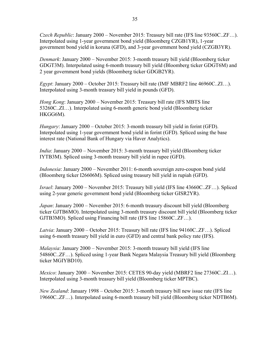*Czech Republic*: January 2000 – November 2015: Treasury bill rate (IFS line 93560C..ZF…). Interpolated using 1-year government bond yield (Bloomberg CZGB1YR), 1-year government bond yield in koruna (GFD), and 3-year government bond yield (CZGB3YR).

*Denmark*: January 2000 – November 2015: 3-month treasury bill yield (Bloomberg ticker GDGT3M). Interpolated using 6-month treasury bill yield (Bloomberg ticker GDGT6M) and 2 year government bond yields (Bloomberg ticker GDGB2YR).

*Egypt*: January 2000 – October 2015: Treasury bill rate (IMF MBRF2 line 46960C..ZI…). Interpolated using 3-month treasury bill yield in pounds (GFD).

*Hong Kong*: January 2000 – November 2015: Treasury bill rate (IFS MBTS line 53260C..ZI…). Interpolated using 6-month generic bond yield (Bloomberg ticker HKGG6M).

*Hungary*: January 2000 – October 2015: 3-month treasury bill yield in forint (GFD). Interpolated using 1-year government bond yield in forint (GFD). Spliced using the base interest rate (National Bank of Hungary via Haver Analytics).

*India*: January 2000 – November 2015: 3-month treasury bill yield (Bloomberg ticker IYTB3M). Spliced using 3-month treasury bill yield in rupee (GFD).

*Indonesia*: January 2000 – November 2011: 6-month sovereign zero-coupon bond yield (Bloomberg ticker I26606M). Spliced using treasury bill yield in rupiah (GFD).

*Israel*: January 2000 – November 2015: Treasury bill yield (IFS line 43660C..ZF…). Spliced using 2-year generic government bond yield (Bloomberg ticker GISR2YR).

*Japan*: January 2000 – November 2015: 6-month treasury discount bill yield (Bloomberg ticker GJTB6MO). Interpolated using 3-month treasury discount bill yield (Bloomberg ticker GJTB3MO). Spliced using Financing bill rate (IFS line 15860C..ZF…).

*Latvia*: January 2000 – October 2015: Treasury bill rate (IFS line 94160C..ZF…). Spliced using 6-month treasury bill yield in euro (GFD) and central bank policy rate (IFS).

*Malaysia*: January 2000 – November 2015: 3-month treasury bill yield (IFS line 54860C..ZF…). Spliced using 1-year Bank Negara Malaysia Treasury bill yield (Bloomberg ticker MGIYBD10).

*Mexico*: January 2000 – November 2015: CETES 90-day yield (MBRF2 line 27360C..ZI…). Interpolated using 3-month treasury bill yield (Bloomberg ticker MPTBC).

*New Zealand*: January 1998 – October 2015: 3-month treasury bill new issue rate (IFS line 19660C..ZF…). Interpolated using 6-month treasury bill yield (Bloomberg ticker NDTB6M).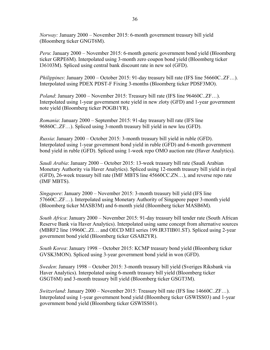*Norway:* January 2000 – November 2015: 6-month government treasury bill yield (Bloomberg ticker GNGT6M).

*Peru*: January 2000 – November 2015: 6-month generic government bond yield (Bloomberg ticker GRPE6M). Interpolated using 3-month zero coupon bond yield (Bloomberg ticker I36103M). Spliced using central bank discount rate in new sol (GFD).

*Philippines*: January 2000 – October 2015: 91-day treasury bill rate (IFS line 56660C..ZF…). Interpolated using PDEX PDST-F Fixing 3-months (Bloomberg ticker PDSF3MO).

*Poland*: January 2000 – November 2015: Treasury bill rate (IFS line 96460C..ZF…). Interpolated using 1-year government note yield in new zloty (GFD) and 1-year government note yield (Bloomberg ticker POGB1YR).

*Romania*: January 2000 – September 2015: 91-day treasury bill rate (IFS line 96860C..ZF…). Spliced using 3-month treasury bill yield in new leu (GFD).

*Russia*: January 2000 – October 2015: 3-month treasury bill yield in ruble (GFD). Interpolated using 1-year government bond yield in ruble (GFD) and 6-month government bond yield in ruble (GFD). Spliced using 1-week repo OMO auction rate (Haver Analytics).

*Saudi Arabia*: January 2000 – October 2015: 13-week treasury bill rate (Saudi Arabian Monetary Authority via Haver Analytics). Spliced using 12-month treasury bill yield in riyal (GFD), 26-week treasury bill rate (IMF MBTS line 45660CC.ZN…), and reverse repo rate (IMF MBTS).

*Singapore*: January 2000 – November 2015: 3-month treasury bill yield (IFS line 57660C..ZF…). Interpolated using Monetary Authority of Singapore paper 3-month yield (Bloomberg ticker MASB3M) and 6-month yield (Bloomberg ticker MASB6M).

*South Africa*: January 2000 – November 2015: 91-day treasury bill tender rate (South African Reserve Bank via Haver Analytics). Interpolated using same concept from alternative sources (MBRF2 line 19960C..ZI… and OECD MEI series 199.IR3TIB01.ST). Spliced using 2-year government bond yield (Bloomberg ticker GSAB2YR).

*South Korea*: January 1998 – October 2015: KCMP treasury bond yield (Bloomberg ticker GVSK3MON). Spliced using 3-year government bond yield in won (GFD).

*Sweden*: January 1998 – October 2015: 3-month treasury bill yield (Sveriges Riksbank via Haver Analytics). Interpolated using 6-month treasury bill yield (Bloomberg ticker GSGT6M) and 3-month treasury bill yield (Bloomberg ticker GSGT3M).

*Switzerland*: January 2000 – November 2015: Treasury bill rate (IFS line 14660C..ZF…). Interpolated using 1-year government bond yield (Bloomberg ticker GSWISS03) and 1-year government bond yield (Bloomberg ticker GSWISS01).